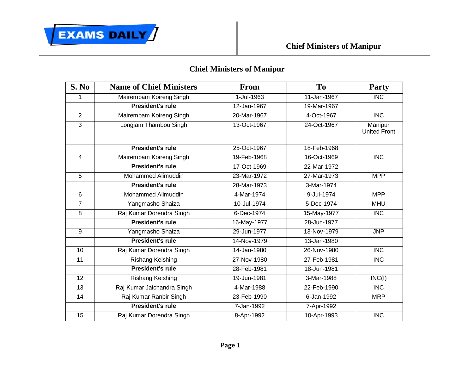

## **Chief Ministers of Manipur**

| S. No           | <b>Name of Chief Ministers</b> | <b>From</b> | <b>To</b>   | <b>Party</b>                   |
|-----------------|--------------------------------|-------------|-------------|--------------------------------|
| $\mathbf{1}$    | Mairembam Koireng Singh        | 1-Jul-1963  | 11-Jan-1967 | $\overline{\text{INC}}$        |
|                 | <b>President's rule</b>        | 12-Jan-1967 | 19-Mar-1967 |                                |
| $\overline{2}$  | Mairembam Koireng Singh        | 20-Mar-1967 | 4-Oct-1967  | $\overline{\text{INC}}$        |
| $\overline{3}$  | Longjam Thambou Singh          | 13-Oct-1967 | 24-Oct-1967 | Manipur<br><b>United Front</b> |
|                 | <b>President's rule</b>        | 25-Oct-1967 | 18-Feb-1968 |                                |
| $\overline{4}$  | Mairembam Koireng Singh        | 19-Feb-1968 | 16-Oct-1969 | <b>INC</b>                     |
|                 | <b>President's rule</b>        | 17-Oct-1969 | 22-Mar-1972 |                                |
| $\overline{5}$  | Mohammed Alimuddin             | 23-Mar-1972 | 27-Mar-1973 | <b>MPP</b>                     |
|                 | <b>President's rule</b>        | 28-Mar-1973 | 3-Mar-1974  |                                |
| $\overline{6}$  | Mohammed Alimuddin             | 4-Mar-1974  | 9-Jul-1974  | <b>MPP</b>                     |
| $\overline{7}$  | Yangmasho Shaiza               | 10-Jul-1974 | 5-Dec-1974  | <b>MHU</b>                     |
| 8               | Raj Kumar Dorendra Singh       | 6-Dec-1974  | 15-May-1977 | <b>INC</b>                     |
|                 | <b>President's rule</b>        | 16-May-1977 | 28-Jun-1977 |                                |
| $\overline{9}$  | Yangmasho Shaiza               | 29-Jun-1977 | 13-Nov-1979 | <b>JNP</b>                     |
|                 | <b>President's rule</b>        | 14-Nov-1979 | 13-Jan-1980 |                                |
| 10              | Raj Kumar Dorendra Singh       | 14-Jan-1980 | 26-Nov-1980 | $\overline{\text{INC}}$        |
| 11              | Rishang Keishing               | 27-Nov-1980 | 27-Feb-1981 | <b>INC</b>                     |
|                 | <b>President's rule</b>        | 28-Feb-1981 | 18-Jun-1981 |                                |
| $\overline{12}$ | Rishang Keishing               | 19-Jun-1981 | 3-Mar-1988  | INC(I)                         |
| $\overline{13}$ | Raj Kumar Jaichandra Singh     | 4-Mar-1988  | 22-Feb-1990 | <b>INC</b>                     |
| 14              | Raj Kumar Ranbir Singh         | 23-Feb-1990 | 6-Jan-1992  | <b>MRP</b>                     |
|                 | <b>President's rule</b>        | 7-Jan-1992  | 7-Apr-1992  |                                |
| $\overline{15}$ | Raj Kumar Dorendra Singh       | 8-Apr-1992  | 10-Apr-1993 | $\overline{\text{INC}}$        |